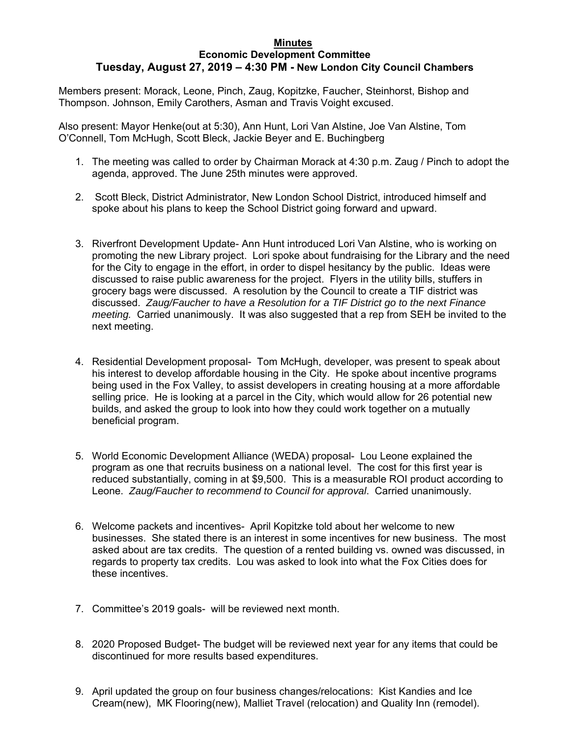## **Minutes Economic Development Committee Tuesday, August 27, 2019 – 4:30 PM - New London City Council Chambers**

Members present: Morack, Leone, Pinch, Zaug, Kopitzke, Faucher, Steinhorst, Bishop and Thompson. Johnson, Emily Carothers, Asman and Travis Voight excused.

Also present: Mayor Henke(out at 5:30), Ann Hunt, Lori Van Alstine, Joe Van Alstine, Tom O'Connell, Tom McHugh, Scott Bleck, Jackie Beyer and E. Buchingberg

- 1. The meeting was called to order by Chairman Morack at 4:30 p.m. Zaug / Pinch to adopt the agenda, approved. The June 25th minutes were approved.
- 2. Scott Bleck, District Administrator, New London School District, introduced himself and spoke about his plans to keep the School District going forward and upward.
- 3. Riverfront Development Update- Ann Hunt introduced Lori Van Alstine, who is working on promoting the new Library project. Lori spoke about fundraising for the Library and the need for the City to engage in the effort, in order to dispel hesitancy by the public. Ideas were discussed to raise public awareness for the project. Flyers in the utility bills, stuffers in grocery bags were discussed. A resolution by the Council to create a TIF district was discussed. *Zaug/Faucher to have a Resolution for a TIF District go to the next Finance meeting.* Carried unanimously. It was also suggested that a rep from SEH be invited to the next meeting.
- 4. Residential Development proposal- Tom McHugh, developer, was present to speak about his interest to develop affordable housing in the City. He spoke about incentive programs being used in the Fox Valley, to assist developers in creating housing at a more affordable selling price. He is looking at a parcel in the City, which would allow for 26 potential new builds, and asked the group to look into how they could work together on a mutually beneficial program.
- 5. World Economic Development Alliance (WEDA) proposal- Lou Leone explained the program as one that recruits business on a national level. The cost for this first year is reduced substantially, coming in at \$9,500. This is a measurable ROI product according to Leone. *Zaug/Faucher to recommend to Council for approval*. Carried unanimously.
- 6. Welcome packets and incentives- April Kopitzke told about her welcome to new businesses. She stated there is an interest in some incentives for new business. The most asked about are tax credits. The question of a rented building vs. owned was discussed, in regards to property tax credits. Lou was asked to look into what the Fox Cities does for these incentives.
- 7. Committee's 2019 goals- will be reviewed next month.
- 8. 2020 Proposed Budget- The budget will be reviewed next year for any items that could be discontinued for more results based expenditures.
- 9. April updated the group on four business changes/relocations: Kist Kandies and Ice Cream(new), MK Flooring(new), Malliet Travel (relocation) and Quality Inn (remodel).